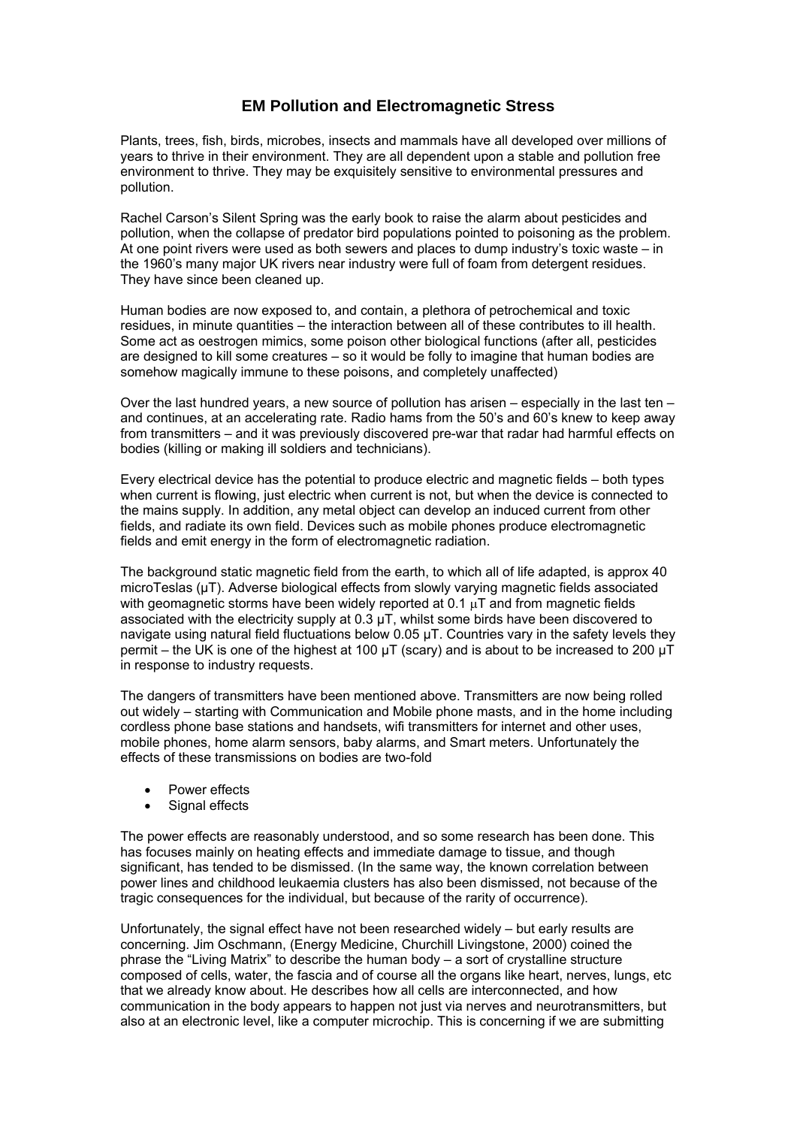## **EM Pollution and Electromagnetic Stress**

Plants, trees, fish, birds, microbes, insects and mammals have all developed over millions of years to thrive in their environment. They are all dependent upon a stable and pollution free environment to thrive. They may be exquisitely sensitive to environmental pressures and pollution.

Rachel Carson's Silent Spring was the early book to raise the alarm about pesticides and pollution, when the collapse of predator bird populations pointed to poisoning as the problem. At one point rivers were used as both sewers and places to dump industry's toxic waste – in the 1960's many major UK rivers near industry were full of foam from detergent residues. They have since been cleaned up.

Human bodies are now exposed to, and contain, a plethora of petrochemical and toxic residues, in minute quantities – the interaction between all of these contributes to ill health. Some act as oestrogen mimics, some poison other biological functions (after all, pesticides are designed to kill some creatures – so it would be folly to imagine that human bodies are somehow magically immune to these poisons, and completely unaffected)

Over the last hundred years, a new source of pollution has arisen – especially in the last ten – and continues, at an accelerating rate. Radio hams from the 50's and 60's knew to keep away from transmitters – and it was previously discovered pre-war that radar had harmful effects on bodies (killing or making ill soldiers and technicians).

Every electrical device has the potential to produce electric and magnetic fields – both types when current is flowing, just electric when current is not, but when the device is connected to the mains supply. In addition, any metal object can develop an induced current from other fields, and radiate its own field. Devices such as mobile phones produce electromagnetic fields and emit energy in the form of electromagnetic radiation.

The background static magnetic field from the earth, to which all of life adapted, is approx 40 microTeslas (μT). Adverse biological effects from slowly varying magnetic fields associated with geomagnetic storms have been widely reported at 0.1  $\mu$ T and from magnetic fields associated with the electricity supply at 0.3 μT, whilst some birds have been discovered to navigate using natural field fluctuations below 0.05 μT. Countries vary in the safety levels they permit – the UK is one of the highest at 100  $\mu$ T (scary) and is about to be increased to 200  $\mu$ T in response to industry requests.

The dangers of transmitters have been mentioned above. Transmitters are now being rolled out widely – starting with Communication and Mobile phone masts, and in the home including cordless phone base stations and handsets, wifi transmitters for internet and other uses, mobile phones, home alarm sensors, baby alarms, and Smart meters. Unfortunately the effects of these transmissions on bodies are two-fold

- Power effects
- Signal effects

The power effects are reasonably understood, and so some research has been done. This has focuses mainly on heating effects and immediate damage to tissue, and though significant, has tended to be dismissed. (In the same way, the known correlation between power lines and childhood leukaemia clusters has also been dismissed, not because of the tragic consequences for the individual, but because of the rarity of occurrence).

Unfortunately, the signal effect have not been researched widely – but early results are concerning. Jim Oschmann, (Energy Medicine, Churchill Livingstone, 2000) coined the phrase the "Living Matrix" to describe the human body – a sort of crystalline structure composed of cells, water, the fascia and of course all the organs like heart, nerves, lungs, etc that we already know about. He describes how all cells are interconnected, and how communication in the body appears to happen not just via nerves and neurotransmitters, but also at an electronic level, like a computer microchip. This is concerning if we are submitting